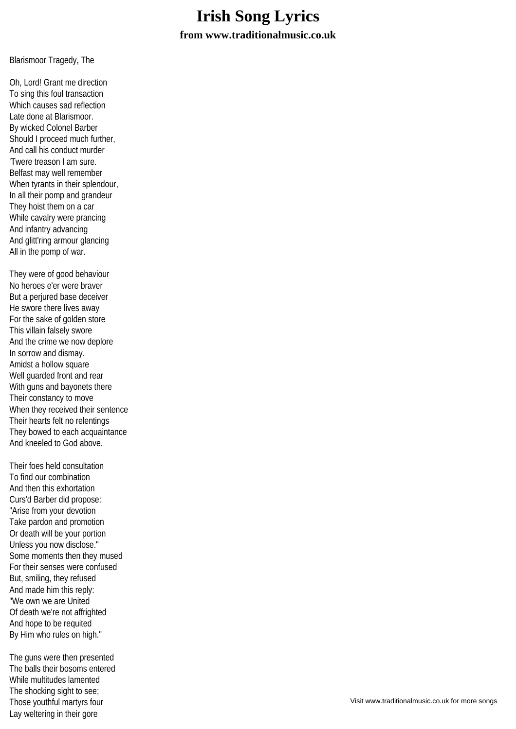## **Irish Song Lyrics from www.traditionalmusic.co.uk**

Blarismoor Tragedy, The

Oh, Lord! Grant me direction To sing this foul transaction Which causes sad reflection Late done at Blarismoor. By wicked Colonel Barber Should I proceed much further, And call his conduct murder 'Twere treason I am sure. Belfast may well remember When tyrants in their splendour, In all their pomp and grandeur They hoist them on a car While cavalry were prancing And infantry advancing And glitt'ring armour glancing All in the pomp of war.

They were of good behaviour No heroes e'er were braver But a perjured base deceiver He swore there lives away For the sake of golden store This villain falsely swore And the crime we now deplore In sorrow and dismay. Amidst a hollow square Well guarded front and rear With guns and bayonets there Their constancy to move When they received their sentence Their hearts felt no relentings They bowed to each acquaintance And kneeled to God above.

Their foes held consultation To find our combination And then this exhortation Curs'd Barber did propose: "Arise from your devotion Take pardon and promotion Or death will be your portion Unless you now disclose." Some moments then they mused For their senses were confused But, smiling, they refused And made him this reply: "We own we are United Of death we're not affrighted And hope to be requited By Him who rules on high."

The guns were then presented The balls their bosoms entered While multitudes lamented The shocking sight to see; Those youthful martyrs four Lay weltering in their gore